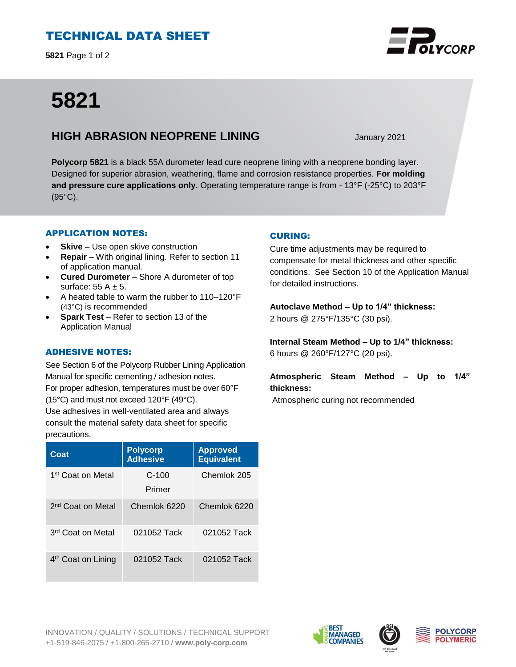## TECHNICAL DATA SHEET

**5821** Page 1 of 2

# **5821**

### **HIGH ABRASION NEOPRENE LINING** January 2021

**Polycorp 5821** is a black 55A durometer lead cure neoprene lining with a neoprene bonding layer. Designed for superior abrasion, weathering, flame and corrosion resistance properties. **For molding and pressure cure applications only.** Operating temperature range is from - 13°F (-25°C) to 203°F (95°C).

#### APPLICATION NOTES:

- **Skive** Use open skive construction
- **Repair**  With original lining. Refer to section 11 of application manual.
- **Cured Durometer**  Shore A durometer of top surface:  $55 A \pm 5$ .
- A heated table to warm the rubber to 110–120°F (43°C) is recommended
- **Spark Test** Refer to section 13 of the Application Manual

#### ADHESIVE NOTES:

See Section 6 of the Polycorp Rubber Lining Application Manual for specific cementing / adhesion notes. For proper adhesion, temperatures must be over 60°F (15°C) and must not exceed 120°F (49°C). Use adhesives in well-ventilated area and always consult the material safety data sheet for specific precautions.

| Coat                           | <b>Polycorp</b><br><b>Adhesive</b> | <b>Approved</b><br><b>Equivalent</b> |
|--------------------------------|------------------------------------|--------------------------------------|
| 1st Coat on Metal              | $C-100$<br>Primer                  | Chemlok 205                          |
| 2 <sup>nd</sup> Coat on Metal  | Chemlok 6220                       | Chemlok 6220                         |
| 3 <sup>rd</sup> Coat on Metal  | 021052 Tack                        | 021052 Tack                          |
| 4 <sup>th</sup> Coat on Lining | 021052 Tack                        | 021052 Tack                          |

#### CURING:

Cure time adjustments may be required to compensate for metal thickness and other specific conditions. See Section 10 of the Application Manual for detailed instructions.

**Autoclave Method – Up to 1/4" thickness:**  2 hours @ 275°F/135°C (30 psi).

**Internal Steam Method – Up to 1/4" thickness:** 6 hours @ 260°F/127°C (20 psi).

**Atmospheric Steam Method – Up to 1/4" thickness:**

Atmospheric curing not recommended